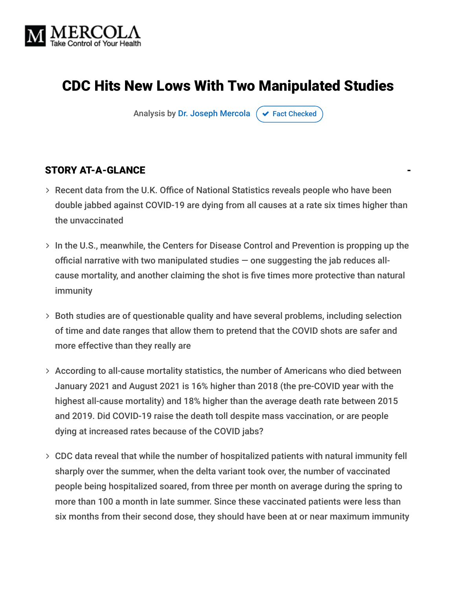

## CDC Hits New Lows With Two Manipulated Studies

Analysis by [Dr. Joseph Mercola](https://www.mercola.com/forms/background.htm)  $\sigma$  [Fact Checked](javascript:void(0))

#### STORY AT-A-GLANCE

- Recent data from the U.K. Office of National Statistics reveals people who have been double jabbed against COVID-19 are dying from all causes at a rate six times higher than the unvaccinated
- $>$  In the U.S., meanwhile, the Centers for Disease Control and Prevention is propping up the official narrative with two manipulated studies  $-$  one suggesting the jab reduces allcause mortality, and another claiming the shot is five times more protective than natural immunity
- Both studies are of questionable quality and have several problems, including selection of time and date ranges that allow them to pretend that the COVID shots are safer and more effective than they really are
- According to all-cause mortality statistics, the number of Americans who died between January 2021 and August 2021 is 16% higher than 2018 (the pre-COVID year with the highest all-cause mortality) and 18% higher than the average death rate between 2015 and 2019. Did COVID-19 raise the death toll despite mass vaccination, or are people dying at increased rates because of the COVID jabs?
- CDC data reveal that while the number of hospitalized patients with natural immunity fell sharply over the summer, when the delta variant took over, the number of vaccinated people being hospitalized soared, from three per month on average during the spring to more than 100 a month in late summer. Since these vaccinated patients were less than six months from their second dose, they should have been at or near maximum immunity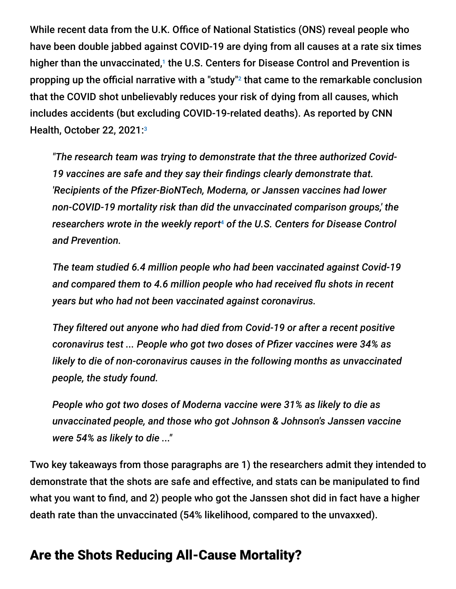While recent data from the U.K. Office of National Statistics (ONS) reveal people who have been double jabbed against COVID-19 are dying from all causes at a rate six times higher than the unvaccinated,<sup>1</sup> the U.S. Centers for Disease Control and Prevention is propping up the official narrative with a "study"<sup>2</sup> that came to the remarkable conclusion that the COVID shot unbelievably reduces your risk of dying from all causes, which includes accidents (but excluding COVID-19-related deaths). As reported by CNN Health, October 22, 2021: 3

*"The research team was trying to demonstrate that the three authorized Covid-19 vaccines are safe and they say their findings clearly demonstrate that. 'Recipients of the Pfizer-BioNTech, Moderna, or Janssen vaccines had lower non-COVID-19 mortality risk than did the unvaccinated comparison groups,' the* researchers wrote in the weekly report<sup>4</sup> of the U.S. Centers for Disease Control *and Prevention.*

*The team studied 6.4 million people who had been vaccinated against Covid-19 and compared them to 4.6 million people who had received flu shots in recent years but who had not been vaccinated against coronavirus.*

*They filtered out anyone who had died from Covid-19 or after a recent positive coronavirus test ... People who got two doses of Pfizer vaccines were 34% as likely to die of non-coronavirus causes in the following months as unvaccinated people, the study found.*

*People who got two doses of Moderna vaccine were 31% as likely to die as unvaccinated people, and those who got Johnson & Johnson's Janssen vaccine were 54% as likely to die ..."*

Two key takeaways from those paragraphs are 1) the researchers admit they intended to demonstrate that the shots are safe and effective, and stats can be manipulated to find what you want to find, and 2) people who got the Janssen shot did in fact have a higher death rate than the unvaccinated (54% likelihood, compared to the unvaxxed).

## Are the Shots Reducing All-Cause Mortality?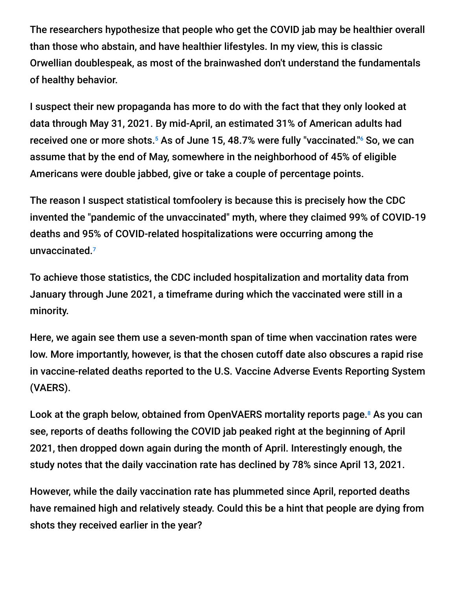The researchers hypothesize that people who get the COVID jab may be healthier overall than those who abstain, and have healthier lifestyles. In my view, this is classic Orwellian doublespeak, as most of the brainwashed don't understand the fundamentals of healthy behavior.

I suspect their new propaganda has more to do with the fact that they only looked at data through May 31, 2021. By mid-April, an estimated 31% of American adults had received one or more shots.<sup>5</sup> As of June 15, 48.7% were fully "vaccinated."<sup>6</sup> So, we can assume that by the end of May, somewhere in the neighborhood of 45% of eligible Americans were double jabbed, give or take a couple of percentage points.

The reason I suspect statistical tomfoolery is because this is precisely how the CDC invented the "pandemic of the unvaccinated" myth, where they claimed 99% of COVID-19 deaths and 95% of COVID-related hospitalizations were occurring among the unvaccinated. 7

To achieve those statistics, the CDC included hospitalization and mortality data from January through June 2021, a timeframe during which the vaccinated were still in a minority.

Here, we again see them use a seven-month span of time when vaccination rates were low. More importantly, however, is that the chosen cutoff date also obscures a rapid rise in vaccine-related deaths reported to the U.S. Vaccine Adverse Events Reporting System (VAERS).

Look at the graph below, obtained from OpenVAERS mortality reports page.<sup>8</sup> As you can see, reports of deaths following the COVID jab peaked right at the beginning of April 2021, then dropped down again during the month of April. Interestingly enough, the study notes that the daily vaccination rate has declined by 78% since April 13, 2021.

However, while the daily vaccination rate has plummeted since April, reported deaths have remained high and relatively steady. Could this be a hint that people are dying from shots they received earlier in the year?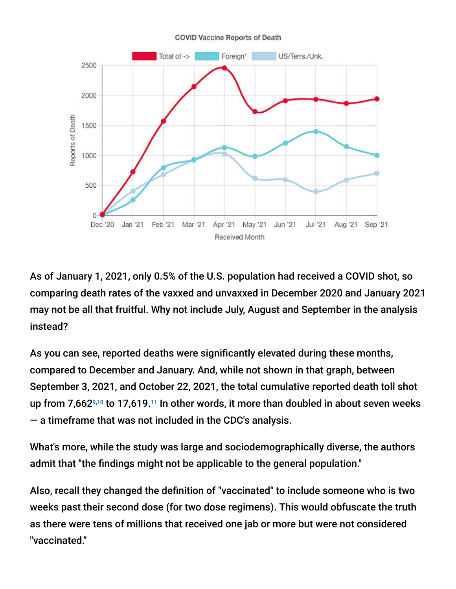#### **COVID Vaccine Reports of Death**



As of January 1, 2021, only 0.5% of the U.S. population had received a COVID shot, so comparing death rates of the vaxxed and unvaxxed in December 2020 and January 2021 may not be all that fruitful. Why not include July, August and September in the analysis instead?

As you can see, reported deaths were significantly elevated during these months, compared to December and January. And, while not shown in that graph, between September 3, 2021, and October 22, 2021, the total cumulative reported death toll shot up from 7,662 $\frac{9}{10}$  to 17,619.<sup>11</sup> In other words, it more than doubled in about seven weeks — a timeframe that was not included in the CDC's analysis.

What's more, while the study was large and sociodemographically diverse, the authors admit that "the findings might not be applicable to the general population."

Also, recall they changed the definition of "vaccinated" to include someone who is two weeks past their second dose (for two dose regimens). This would obfuscate the truth as there were tens of millions that received one jab or more but were not considered "vaccinated."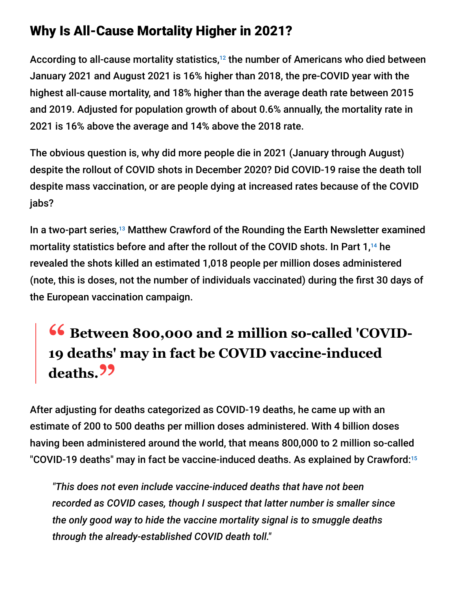## Why Is All-Cause Mortality Higher in 2021?

According to all-cause mortality statistics, $^{12}$  the number of Americans who died between January 2021 and August 2021 is 16% higher than 2018, the pre-COVID year with the highest all-cause mortality, and 18% higher than the average death rate between 2015 and 2019. Adjusted for population growth of about 0.6% annually, the mortality rate in 2021 is 16% above the average and 14% above the 2018 rate.

The obvious question is, why did more people die in 2021 (January through August) despite the rollout of COVID shots in December 2020? Did COVID-19 raise the death toll despite mass vaccination, or are people dying at increased rates because of the COVID jabs?

In a two-part series,<sup>13</sup> Matthew Crawford of the Rounding the Earth Newsletter examined mortality statistics before and after the rollout of the COVID shots. In Part  $1,14$  he revealed the shots killed an estimated 1,018 people per million doses administered (note, this is doses, not the number of individuals vaccinated) during the first 30 days of the European vaccination campaign.

# **<sup>66</sup>** Between 800,000 and 2 million so-called 'COVID-**19 deaths' may in fact be COVID vaccine-induced deaths."**

After adjusting for deaths categorized as COVID-19 deaths, he came up with an estimate of 200 to 500 deaths per million doses administered. With 4 billion doses having been administered around the world, that means 800,000 to 2 million so-called "COVID-19 deaths" may in fact be vaccine-induced deaths. As explained by Crawford: 15

*"This does not even include vaccine-induced deaths that have not been recorded as COVID cases, though I suspect that latter number is smaller since the only good way to hide the vaccine mortality signal is to smuggle deaths through the already-established COVID death toll."*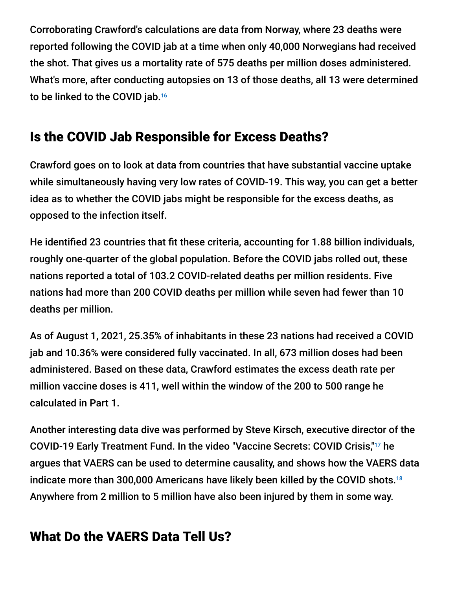Corroborating Crawford's calculations are data from Norway, where 23 deaths were reported following the COVID jab at a time when only 40,000 Norwegians had received the shot. That gives us a mortality rate of 575 deaths per million doses administered. What's more, after conducting autopsies on 13 of those deaths, all 13 were determined to be linked to the COVID jab. 16

## Is the COVID Jab Responsible for Excess Deaths?

Crawford goes on to look at data from countries that have substantial vaccine uptake while simultaneously having very low rates of COVID-19. This way, you can get a better idea as to whether the COVID jabs might be responsible for the excess deaths, as opposed to the infection itself.

He identified 23 countries that fit these criteria, accounting for 1.88 billion individuals, roughly one-quarter of the global population. Before the COVID jabs rolled out, these nations reported a total of 103.2 COVID-related deaths per million residents. Five nations had more than 200 COVID deaths per million while seven had fewer than 10 deaths per million.

As of August 1, 2021, 25.35% of inhabitants in these 23 nations had received a COVID jab and 10.36% were considered fully vaccinated. In all, 673 million doses had been administered. Based on these data, Crawford estimates the excess death rate per million vaccine doses is 411, well within the window of the 200 to 500 range he calculated in Part 1.

Another interesting data dive was performed by Steve Kirsch, executive director of the COVID-19 Early Treatment Fund. In the video "Vaccine Secrets: COVID Crisis,"<sup>17</sup> he argues that VAERS can be used to determine causality, and shows how the VAERS data indicate more than 300,000 Americans have likely been killed by the COVID shots. 18Anywhere from 2 million to 5 million have also been injured by them in some way.

# What Do the VAERS Data Tell Us?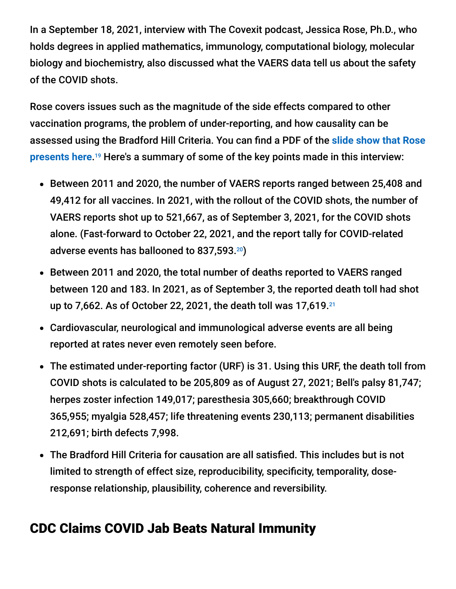In a September 18, 2021, interview with The Covexit podcast, Jessica Rose, Ph.D., who holds degrees in applied mathematics, immunology, computational biology, molecular biology and biochemistry, also discussed what the VAERS data tell us about the safety of the COVID shots.

Rose covers issues such as the magnitude of the side effects compared to other vaccination programs, the problem of under-reporting, and how causality can be assessed using the Bradford Hill Criteria. You can find a PDF of the **slide show that Rose** presents here.<sup>19</sup> Here's a summary of some of the key points made in this interview:

- Between 2011 and 2020, the number of VAERS reports ranged between 25,408 and 49,412 for all vaccines. In 2021, with the rollout of the COVID shots, the number of VAERS reports shot up to 521,667, as of September 3, 2021, for the COVID shots alone. (Fast-forward to October 22, 2021, and the report tally for COVID-related adverse events has ballooned to 837,593. $^{20}$ )
- Between 2011 and 2020, the total number of deaths reported to VAERS ranged between 120 and 183. In 2021, as of September 3, the reported death toll had shot up to 7,662. As of October 22, 2021, the death toll was 17,619. 21
- Cardiovascular, neurological and immunological adverse events are all being reported at rates never even remotely seen before.
- The estimated under-reporting factor (URF) is 31. Using this URF, the death toll from COVID shots is calculated to be 205,809 as of August 27, 2021; Bell's palsy 81,747; herpes zoster infection 149,017; paresthesia 305,660; breakthrough COVID 365,955; myalgia 528,457; life threatening events 230,113; permanent disabilities 212,691; birth defects 7,998.
- The Bradford Hill Criteria for causation are all satisfied. This includes but is not limited to strength of effect size, reproducibility, specificity, temporality, doseresponse relationship, plausibility, coherence and reversibility.

## CDC Claims COVID Jab Beats Natural Immunity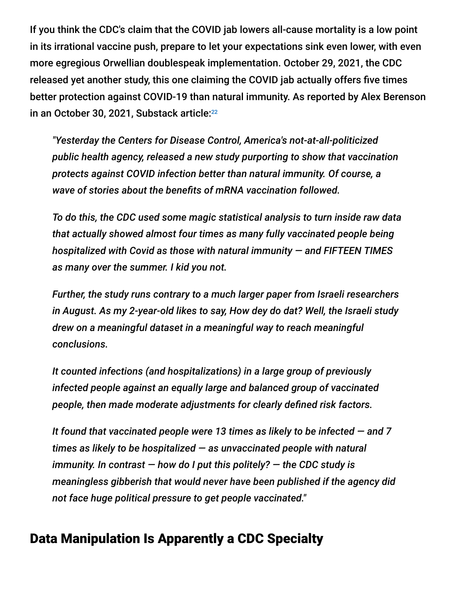If you think the CDC's claim that the COVID jab lowers all-cause mortality is a low point in its irrational vaccine push, prepare to let your expectations sink even lower, with even more egregious Orwellian doublespeak implementation. October 29, 2021, the CDC released yet another study, this one claiming the COVID jab actually offers five times better protection against COVID-19 than natural immunity. As reported by Alex Berenson in an October 30, 2021, Substack article: 22

*"Yesterday the Centers for Disease Control, America's not-at-all-politicized public health agency, released a new study purporting to show that vaccination protects against COVID infection better than natural immunity. Of course, a wave of stories about the benefits of mRNA vaccination followed.*

*To do this, the CDC used some magic statistical analysis to turn inside raw data that actually showed almost four times as many fully vaccinated people being hospitalized with Covid as those with natural immunity — and FIFTEEN TIMES as many over the summer. I kid you not.*

*Further, the study runs contrary to a much larger paper from Israeli researchers in August. As my 2-year-old likes to say, How dey do dat? Well, the Israeli study drew on a meaningful dataset in a meaningful way to reach meaningful conclusions.*

*It counted infections (and hospitalizations) in a large group of previously infected people against an equally large and balanced group of vaccinated people, then made moderate adjustments for clearly defined risk factors.*

*It found that vaccinated people were 13 times as likely to be infected — and 7 times as likely to be hospitalized — as unvaccinated people with natural immunity. In contrast — how do I put this politely? — the CDC study is meaningless gibberish that would never have been published if the agency did not face huge political pressure to get people vaccinated."*

## Data Manipulation Is Apparently a CDC Specialty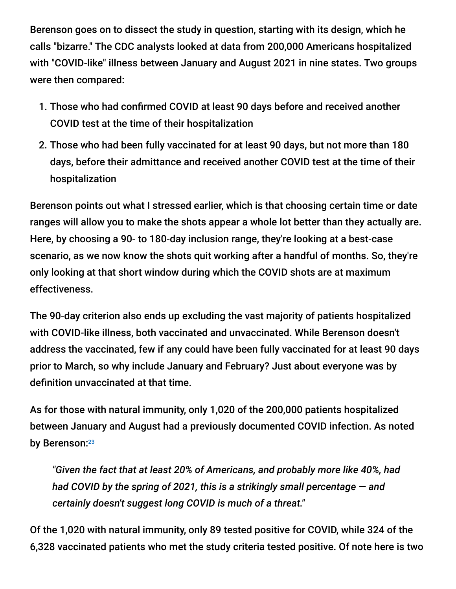Berenson goes on to dissect the study in question, starting with its design, which he calls "bizarre." The CDC analysts looked at data from 200,000 Americans hospitalized with "COVID-like" illness between January and August 2021 in nine states. Two groups were then compared:

- 1. Those who had confirmed COVID at least 90 days before and received another COVID test at the time of their hospitalization
- 2. Those who had been fully vaccinated for at least 90 days, but not more than 180 days, before their admittance and received another COVID test at the time of their hospitalization

Berenson points out what I stressed earlier, which is that choosing certain time or date ranges will allow you to make the shots appear a whole lot better than they actually are. Here, by choosing a 90- to 180-day inclusion range, they're looking at a best-case scenario, as we now know the shots quit working after a handful of months. So, they're only looking at that short window during which the COVID shots are at maximum effectiveness.

The 90-day criterion also ends up excluding the vast majority of patients hospitalized with COVID-like illness, both vaccinated and unvaccinated. While Berenson doesn't address the vaccinated, few if any could have been fully vaccinated for at least 90 days prior to March, so why include January and February? Just about everyone was by definition unvaccinated at that time.

As for those with natural immunity, only 1,020 of the 200,000 patients hospitalized between January and August had a previously documented COVID infection. As noted by Berenson:23

*"Given the fact that at least 20% of Americans, and probably more like 40%, had had COVID by the spring of 2021, this is a strikingly small percentage — and certainly doesn't suggest long COVID is much of a threat."*

Of the 1,020 with natural immunity, only 89 tested positive for COVID, while 324 of the 6,328 vaccinated patients who met the study criteria tested positive. Of note here is two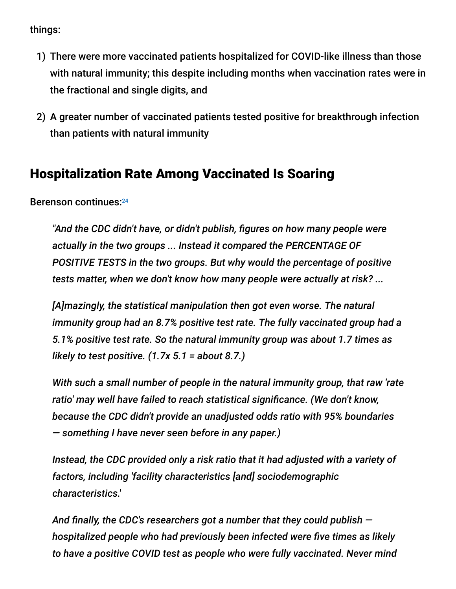things:

- 1) There were more vaccinated patients hospitalized for COVID-like illness than those with natural immunity; this despite including months when vaccination rates were in the fractional and single digits, and
- 2) A greater number of vaccinated patients tested positive for breakthrough infection than patients with natural immunity

## Hospitalization Rate Among Vaccinated Is Soaring

Berenson continues: 24

*"And the CDC didn't have, or didn't publish, figures on how many people were actually in the two groups ... Instead it compared the PERCENTAGE OF POSITIVE TESTS in the two groups. But why would the percentage of positive tests matter, when we don't know how many people were actually at risk? ...*

*[A]mazingly, the statistical manipulation then got even worse. The natural immunity group had an 8.7% positive test rate. The fully vaccinated group had a 5.1% positive test rate. So the natural immunity group was about 1.7 times as likely to test positive. (1.7x 5.1 = about 8.7.)*

*With such a small number of people in the natural immunity group, that raw 'rate ratio' may well have failed to reach statistical significance. (We don't know, because the CDC didn't provide an unadjusted odds ratio with 95% boundaries — something I have never seen before in any paper.)*

*Instead, the CDC provided only a risk ratio that it had adjusted with a variety of factors, including 'facility characteristics [and] sociodemographic characteristics.'*

*And finally, the CDC's researchers got a number that they could publish hospitalized people who had previously been infected were five times as likely to have a positive COVID test as people who were fully vaccinated. Never mind*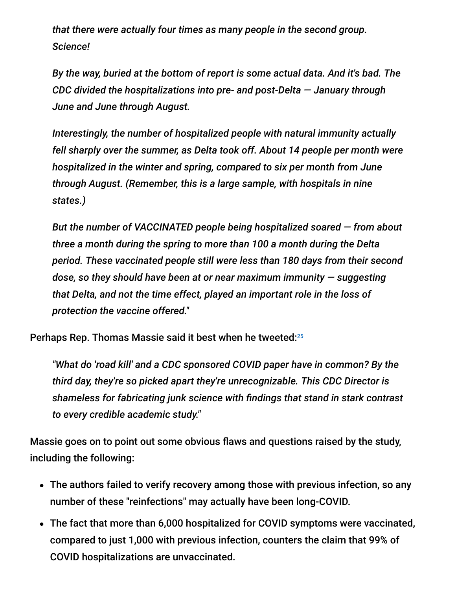*that there were actually four times as many people in the second group. Science!*

*By the way, buried at the bottom of report is some actual data. And it's bad. The CDC divided the hospitalizations into pre- and post-Delta — January through June and June through August.*

*Interestingly, the number of hospitalized people with natural immunity actually fell sharply over the summer, as Delta took off. About 14 people per month were hospitalized in the winter and spring, compared to six per month from June through August. (Remember, this is a large sample, with hospitals in nine states.)*

*But the number of VACCINATED people being hospitalized soared — from about three a month during the spring to more than 100 a month during the Delta period. These vaccinated people still were less than 180 days from their second dose, so they should have been at or near maximum immunity — suggesting that Delta, and not the time effect, played an important role in the loss of protection the vaccine offered."*

Perhaps Rep. Thomas Massie said it best when he tweeted: 25

*"What do 'road kill' and a CDC sponsored COVID paper have in common? By the third day, they're so picked apart they're unrecognizable. This CDC Director is shameless for fabricating junk science with findings that stand in stark contrast to every credible academic study."*

Massie goes on to point out some obvious flaws and questions raised by the study, including the following:

- The authors failed to verify recovery among those with previous infection, so any number of these "reinfections" may actually have been long-COVID.
- The fact that more than 6,000 hospitalized for COVID symptoms were vaccinated, compared to just 1,000 with previous infection, counters the claim that 99% of COVID hospitalizations are unvaccinated.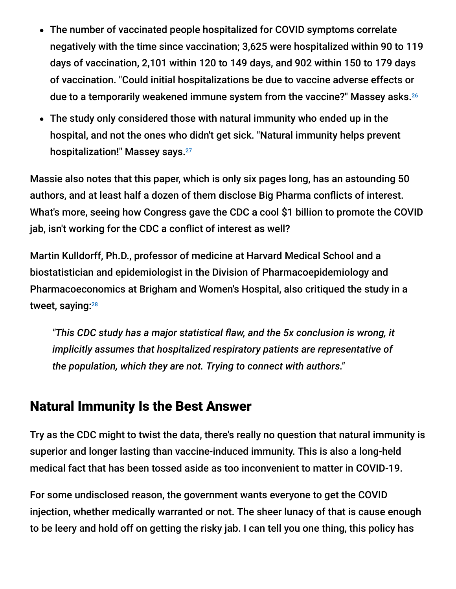- The number of vaccinated people hospitalized for COVID symptoms correlate negatively with the time since vaccination; 3,625 were hospitalized within 90 to 119 days of vaccination, 2,101 within 120 to 149 days, and 902 within 150 to 179 days of vaccination. "Could initial hospitalizations be due to vaccine adverse effects or due to a temporarily weakened immune system from the vaccine?" Massey asks. 26
- The study only considered those with natural immunity who ended up in the hospital, and not the ones who didn't get sick. "Natural immunity helps prevent hospitalization!" Massey says. 27

Massie also notes that this paper, which is only six pages long, has an astounding 50 authors, and at least half a dozen of them disclose Big Pharma conflicts of interest. What's more, seeing how Congress gave the CDC a cool \$1 billion to promote the COVID jab, isn't working for the CDC a conflict of interest as well?

Martin Kulldorff, Ph.D., professor of medicine at Harvard Medical School and a biostatistician and epidemiologist in the Division of Pharmacoepidemiology and Pharmacoeconomics at Brigham and Women's Hospital, also critiqued the study in a tweet, saying:<del>28</del>

*"This CDC study has a major statistical flaw, and the 5x conclusion is wrong, it implicitly assumes that hospitalized respiratory patients are representative of the population, which they are not. Trying to connect with authors."*

## Natural Immunity Is the Best Answer

Try as the CDC might to twist the data, there's really no question that natural immunity is superior and longer lasting than vaccine-induced immunity. This is also a long-held medical fact that has been tossed aside as too inconvenient to matter in COVID-19.

For some undisclosed reason, the government wants everyone to get the COVID injection, whether medically warranted or not. The sheer lunacy of that is cause enough to be leery and hold off on getting the risky jab. I can tell you one thing, this policy has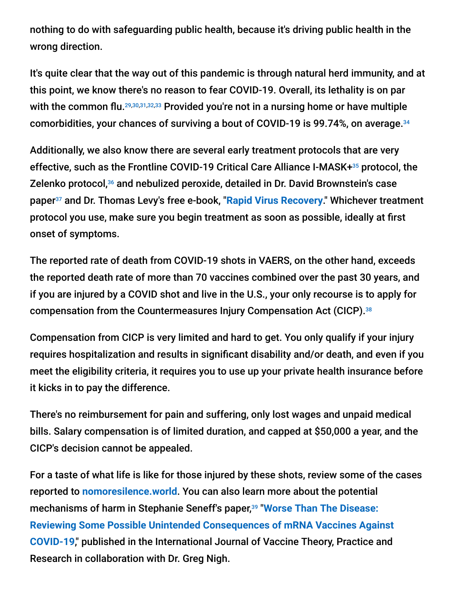nothing to do with safeguarding public health, because it's driving public health in the wrong direction.

It's quite clear that the way out of this pandemic is through natural herd immunity, and at this point, we know there's no reason to fear COVID-19. Overall, its lethality is on par with the common flu.<sup>29,30,31,32,33</sup> Provided you're not in a nursing home or have multiple comorbidities, your chances of surviving a bout of COVID-19 is 99.74%, on average. 34

Additionally, we also know there are several early treatment protocols that are very effective, such as the Frontline COVID-19 Critical Care Alliance I-MASK+<sup>35</sup> protocol, the Zelenko protocol,<sup>36</sup> and nebulized peroxide, detailed in Dr. David Brownstein's case paper<sup>37</sup> and Dr. Thomas Levy's free e-book, "<mark>[Rapid Virus Recovery](https://rvr.medfoxpub.com/)</mark>." Whichever treatment protocol you use, make sure you begin treatment as soon as possible, ideally at first onset of symptoms.

The reported rate of death from COVID-19 shots in VAERS, on the other hand, exceeds the reported death rate of more than 70 vaccines combined over the past 30 years, and if you are injured by a COVID shot and live in the U.S., your only recourse is to apply for compensation from the Countermeasures Injury Compensation Act (CICP). 38

Compensation from CICP is very limited and hard to get. You only qualify if your injury requires hospitalization and results in significant disability and/or death, and even if you meet the eligibility criteria, it requires you to use up your private health insurance before it kicks in to pay the difference.

There's no reimbursement for pain and suffering, only lost wages and unpaid medical bills. Salary compensation is of limited duration, and capped at \$50,000 a year, and the CICP's decision cannot be appealed.

For a taste of what life is like for those injured by these shots, review some of the cases reported to **[nomoresilence.world](https://nomoresilence.world/)**. You can also learn more about the potential mechanisms of harm in Stephanie Seneff's paper,<sup>39</sup> "Worse Than The Disease: **[Reviewing Some Possible Unintended Consequences of mRNA Vaccines Against](https://ijvtpr.com/index.php/IJVTPR/article/view/23/34) COVID-19**," published in the International Journal of Vaccine Theory, Practice and Research in collaboration with Dr. Greg Nigh.